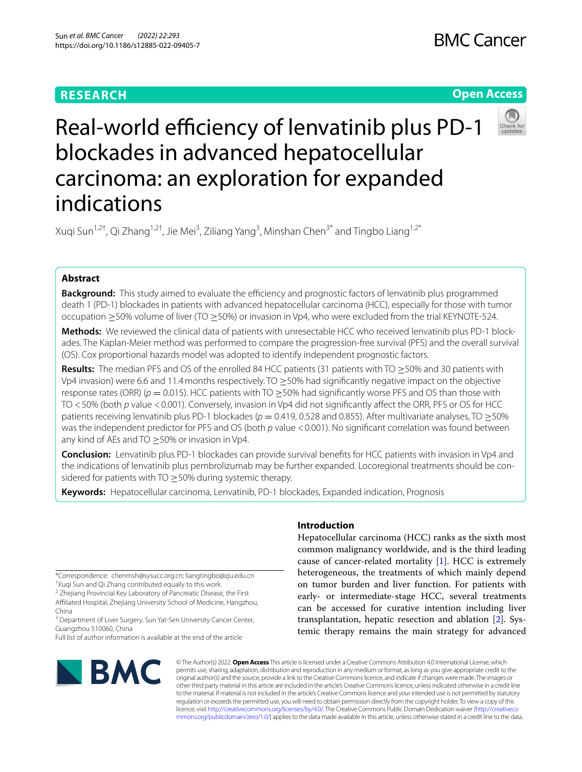## **RESEARCH**

## **Open Access**



Real-world efficiency of lenvatinib plus PD-1 blockades in advanced hepatocellular carcinoma: an exploration for expanded indications

Xuqi Sun<sup>1,2†</sup>, Qi Zhang<sup>1,2†</sup>, Jie Mei<sup>3</sup>, Ziliang Yang<sup>3</sup>, Minshan Chen<sup>3\*</sup> and Tingbo Liang<sup>1,2\*</sup>

## **Abstract**

**Background:** This study aimed to evaluate the efficiency and prognostic factors of lenvatinib plus programmed death 1 (PD-1) blockades in patients with advanced hepatocellular carcinoma (HCC), especially for those with tumor occupation ≥50% volume of liver (TO ≥50%) or invasion in Vp4, who were excluded from the trial KEYNOTE-524.

**Methods:** We reviewed the clinical data of patients with unresectable HCC who received lenvatinib plus PD-1 blockades. The Kaplan-Meier method was performed to compare the progression-free survival (PFS) and the overall survival (OS). Cox proportional hazards model was adopted to identify independent prognostic factors.

**Results:** The median PFS and OS of the enrolled 84 HCC patients (31 patients with TO ≥50% and 30 patients with Vp4 invasion) were 6.6 and 11.4 months respectively. TO  $\geq$  50% had significantly negative impact on the objective response rates (ORR) (*p* = 0.015). HCC patients with TO ≥50% had signifcantly worse PFS and OS than those with TO <50% (both *p* value <0.001). Conversely, invasion in Vp4 did not signifcantly afect the ORR, PFS or OS for HCC patients receiving lenvatinib plus PD-1 blockades (*p* = 0.419, 0.528 and 0.855). After multivariate analyses, TO ≥50% was the independent predictor for PFS and OS (both *p* value <0.001). No significant correlation was found between any kind of AEs and TO  $\geq$  50% or invasion in Vp4.

**Conclusion:** Lenvatinib plus PD-1 blockades can provide survival benefts for HCC patients with invasion in Vp4 and the indications of lenvatinib plus pembrolizumab may be further expanded. Locoregional treatments should be considered for patients with TO  $\geq$  50% during systemic therapy.

**Keywords:** Hepatocellular carcinoma, Lenvatinib, PD-1 blockades, Expanded indication, Prognosis

\*Correspondence: chenmsh@sysucc.org.cn; liangtingbo@zju.edu.cn

† Xuqi Sun and Qi Zhang contributed equally to this work.

<sup>2</sup> Zhejiang Provincial Key Laboratory of Pancreatic Disease, the First Afliated Hospital, Zhejiang University School of Medicine, Hangzhou, China

<sup>3</sup> Department of Liver Surgery, Sun Yat-Sen University Cancer Center, Guangzhou 510060, China

Full list of author information is available at the end of the article

# **BMC**

## **Introduction**

Hepatocellular carcinoma (HCC) ranks as the sixth most common malignancy worldwide, and is the third leading cause of cancer-related mortality [[1](#page-6-0)]. HCC is extremely heterogeneous, the treatments of which mainly depend on tumor burden and liver function. For patients with early- or intermediate-stage HCC, several treatments can be accessed for curative intention including liver transplantation, hepatic resection and ablation [\[2](#page-6-1)]. Systemic therapy remains the main strategy for advanced

© The Author(s) 2022. **Open Access** This article is licensed under a Creative Commons Attribution 4.0 International License, which permits use, sharing, adaptation, distribution and reproduction in any medium or format, as long as you give appropriate credit to the original author(s) and the source, provide a link to the Creative Commons licence, and indicate if changes were made. The images or other third party material in this article are included in the article's Creative Commons licence, unless indicated otherwise in a credit line to the material. If material is not included in the article's Creative Commons licence and your intended use is not permitted by statutory regulation or exceeds the permitted use, you will need to obtain permission directly from the copyright holder. To view a copy of this licence, visit [http://creativecommons.org/licenses/by/4.0/.](http://creativecommons.org/licenses/by/4.0/) The Creative Commons Public Domain Dedication waiver ([http://creativeco](http://creativecommons.org/publicdomain/zero/1.0/) [mmons.org/publicdomain/zero/1.0/](http://creativecommons.org/publicdomain/zero/1.0/)) applies to the data made available in this article, unless otherwise stated in a credit line to the data.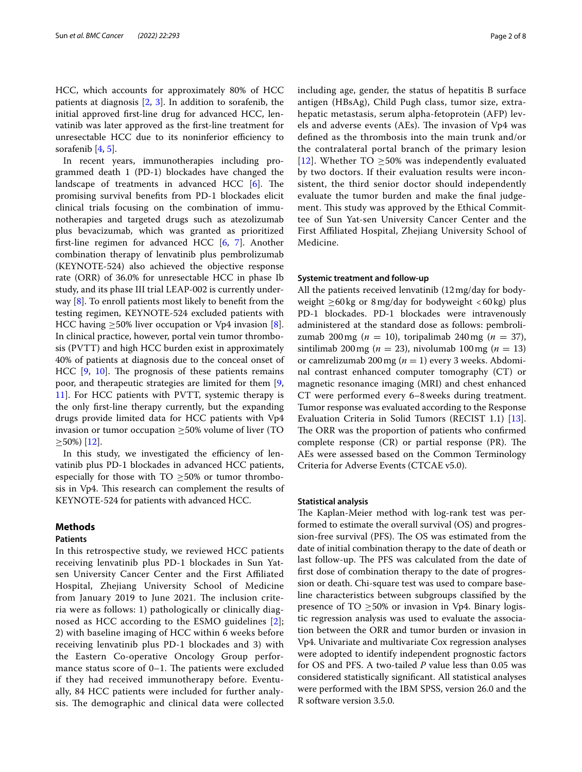HCC, which accounts for approximately 80% of HCC patients at diagnosis [\[2](#page-6-1), [3\]](#page-6-2). In addition to sorafenib, the initial approved frst-line drug for advanced HCC, lenvatinib was later approved as the frst-line treatment for unresectable HCC due to its noninferior efficiency to sorafenib [[4,](#page-6-3) [5](#page-6-4)].

In recent years, immunotherapies including programmed death 1 (PD-1) blockades have changed the landscape of treatments in advanced HCC  $[6]$  $[6]$ . The promising survival benefts from PD-1 blockades elicit clinical trials focusing on the combination of immunotherapies and targeted drugs such as atezolizumab plus bevacizumab, which was granted as prioritized frst-line regimen for advanced HCC [[6](#page-6-5), [7](#page-6-6)]. Another combination therapy of lenvatinib plus pembrolizumab (KEYNOTE-524) also achieved the objective response rate (ORR) of 36.0% for unresectable HCC in phase Ib study, and its phase III trial LEAP-002 is currently underway [\[8](#page-6-7)]. To enroll patients most likely to beneft from the testing regimen, KEYNOTE-524 excluded patients with HCC having  $\geq$ 50% liver occupation or Vp4 invasion [\[8](#page-6-7)]. In clinical practice, however, portal vein tumor thrombosis (PVTT) and high HCC burden exist in approximately 40% of patients at diagnosis due to the conceal onset of HCC  $[9, 10]$  $[9, 10]$  $[9, 10]$  $[9, 10]$  $[9, 10]$ . The prognosis of these patients remains poor, and therapeutic strategies are limited for them [\[9](#page-6-8), [11\]](#page-7-0). For HCC patients with PVTT, systemic therapy is the only frst-line therapy currently, but the expanding drugs provide limited data for HCC patients with Vp4 invasion or tumor occupation ≥50% volume of liver (TO  $\geq$ 50%) [\[12](#page-7-1)].

In this study, we investigated the efficiency of lenvatinib plus PD-1 blockades in advanced HCC patients, especially for those with  $TO \geq 50\%$  or tumor thrombosis in Vp4. This research can complement the results of KEYNOTE-524 for patients with advanced HCC.

## **Methods**

## **Patients**

In this retrospective study, we reviewed HCC patients receiving lenvatinib plus PD-1 blockades in Sun Yatsen University Cancer Center and the First Afliated Hospital, Zhejiang University School of Medicine from January 2019 to June 2021. The inclusion criteria were as follows: 1) pathologically or clinically diagnosed as HCC according to the ESMO guidelines [[2\]](#page-6-1); 2) with baseline imaging of HCC within 6 weeks before receiving lenvatinib plus PD-1 blockades and 3) with the Eastern Co-operative Oncology Group performance status score of  $0-1$ . The patients were excluded if they had received immunotherapy before. Eventually, 84 HCC patients were included for further analysis. The demographic and clinical data were collected including age, gender, the status of hepatitis B surface antigen (HBsAg), Child Pugh class, tumor size, extrahepatic metastasis, serum alpha-fetoprotein (AFP) levels and adverse events (AEs). The invasion of Vp4 was defned as the thrombosis into the main trunk and/or the contralateral portal branch of the primary lesion [[12](#page-7-1)]. Whether TO  $\geq$  50% was independently evaluated by two doctors. If their evaluation results were inconsistent, the third senior doctor should independently evaluate the tumor burden and make the fnal judgement. This study was approved by the Ethical Committee of Sun Yat-sen University Cancer Center and the First Afliated Hospital, Zhejiang University School of Medicine.

## **Systemic treatment and follow‑up**

All the patients received lenvatinib (12mg/day for bodyweight  $\geq 60$ kg or 8 mg/day for bodyweight <60 kg) plus PD-1 blockades. PD-1 blockades were intravenously administered at the standard dose as follows: pembrolizumab 200mg (*n* = 10), toripalimab 240mg (*n* = 37), sintilimab 200 mg ( $n = 23$ ), nivolumab 100 mg ( $n = 13$ ) or camrelizumab 200mg (*n* = 1) every 3 weeks. Abdominal contrast enhanced computer tomography (CT) or magnetic resonance imaging (MRI) and chest enhanced CT were performed every 6–8weeks during treatment. Tumor response was evaluated according to the Response Evaluation Criteria in Solid Tumors (RECIST 1.1) [\[13](#page-7-2)]. The ORR was the proportion of patients who confirmed complete response  $(CR)$  or partial response  $(PR)$ . The AEs were assessed based on the Common Terminology Criteria for Adverse Events (CTCAE v5.0).

## **Statistical analysis**

The Kaplan-Meier method with log-rank test was performed to estimate the overall survival (OS) and progression-free survival (PFS). The OS was estimated from the date of initial combination therapy to the date of death or last follow-up. The PFS was calculated from the date of frst dose of combination therapy to the date of progression or death. Chi-square test was used to compare baseline characteristics between subgroups classifed by the presence of TO  $\geq$ 50% or invasion in Vp4. Binary logistic regression analysis was used to evaluate the association between the ORR and tumor burden or invasion in Vp4. Univariate and multivariate Cox regression analyses were adopted to identify independent prognostic factors for OS and PFS. A two-tailed *P* value less than 0.05 was considered statistically signifcant. All statistical analyses were performed with the IBM SPSS, version 26.0 and the R software version 3.5.0.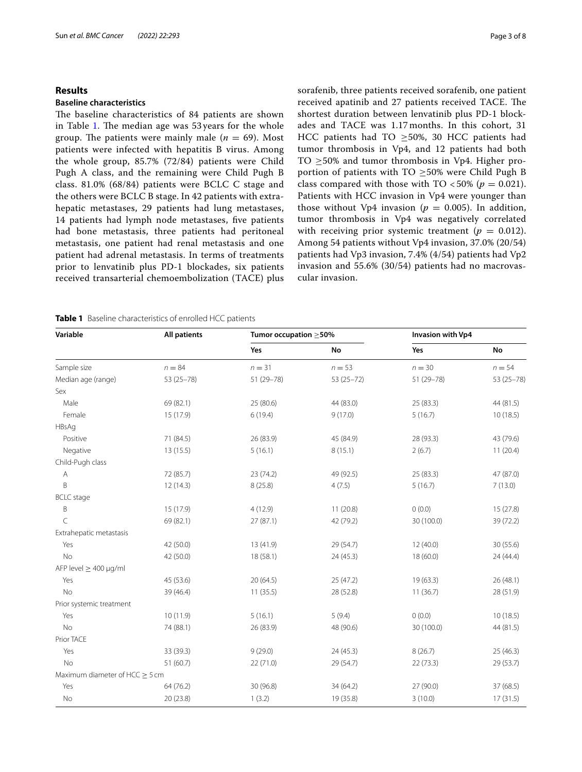#### Sun *et al. BMC Cancer (2022) 22:293* Page 3 of 8

## **Results**

## **Baseline characteristics**

The baseline characteristics of 84 patients are shown in Table [1.](#page-2-0) The median age was  $53$  years for the whole group. The patients were mainly male ( $n = 69$ ). Most patients were infected with hepatitis B virus. Among the whole group, 85.7% (72/84) patients were Child Pugh A class, and the remaining were Child Pugh B class. 81.0% (68/84) patients were BCLC C stage and the others were BCLC B stage. In 42 patients with extrahepatic metastases, 29 patients had lung metastases, 14 patients had lymph node metastases, fve patients had bone metastasis, three patients had peritoneal metastasis, one patient had renal metastasis and one patient had adrenal metastasis. In terms of treatments prior to lenvatinib plus PD-1 blockades, six patients received transarterial chemoembolization (TACE) plus sorafenib, three patients received sorafenib, one patient received apatinib and 27 patients received TACE. The shortest duration between lenvatinib plus PD-1 blockades and TACE was 1.17 months. In this cohort, 31 HCC patients had TO ≥50%, 30 HCC patients had tumor thrombosis in Vp4, and 12 patients had both TO  $\geq$ 50% and tumor thrombosis in Vp4. Higher proportion of patients with TO  $\geq$ 50% were Child Pugh B class compared with those with  $TO < 50\%$  ( $p = 0.021$ ). Patients with HCC invasion in Vp4 were younger than those without Vp4 invasion ( $p = 0.005$ ). In addition, tumor thrombosis in Vp4 was negatively correlated with receiving prior systemic treatment  $(p = 0.012)$ . Among 54 patients without Vp4 invasion, 37.0% (20/54) patients had Vp3 invasion, 7.4% (4/54) patients had Vp2 invasion and 55.6% (30/54) patients had no macrovascular invasion.

<span id="page-2-0"></span>**Table 1** Baseline characteristics of enrolled HCC patients

| Variable                            | <b>All patients</b> | Tumor occupation $\geq$ 50% |            | Invasion with Vp4 |            |  |
|-------------------------------------|---------------------|-----------------------------|------------|-------------------|------------|--|
|                                     |                     | Yes                         | No         | Yes               | No         |  |
| Sample size                         | $n = 84$            | $n = 31$                    | $n = 53$   | $n = 30$          | $n = 54$   |  |
| Median age (range)                  | 53 (25-78)          | 51 (29-78)                  | 53 (25-72) | 51 (29-78)        | 53 (25-78) |  |
| Sex                                 |                     |                             |            |                   |            |  |
| Male                                | 69 (82.1)           | 25 (80.6)                   | 44 (83.0)  | 25 (83.3)         | 44 (81.5)  |  |
| Female                              | 15 (17.9)           | 6(19.4)                     | 9(17.0)    | 5(16.7)           | 10(18.5)   |  |
| HBsAg                               |                     |                             |            |                   |            |  |
| Positive                            | 71 (84.5)           | 26 (83.9)                   | 45 (84.9)  | 28 (93.3)         | 43 (79.6)  |  |
| Negative                            | 13(15.5)            | 5(16.1)                     | 8(15.1)    | 2(6.7)            | 11(20.4)   |  |
| Child-Pugh class                    |                     |                             |            |                   |            |  |
| А                                   | 72 (85.7)           | 23(74.2)                    | 49 (92.5)  | 25(83.3)          | 47 (87.0)  |  |
| B                                   | 12(14.3)            | 8(25.8)                     | 4(7.5)     | 5(16.7)           | 7(13.0)    |  |
| <b>BCLC</b> stage                   |                     |                             |            |                   |            |  |
| B                                   | 15 (17.9)           | 4(12.9)                     | 11(20.8)   | 0(0.0)            | 15(27.8)   |  |
| $\subset$                           | 69 (82.1)           | 27(87.1)                    | 42 (79.2)  | 30 (100.0)        | 39 (72.2)  |  |
| Extrahepatic metastasis             |                     |                             |            |                   |            |  |
| Yes                                 | 42 (50.0)           | 13 (41.9)                   | 29 (54.7)  | 12(40.0)          | 30(55.6)   |  |
| <b>No</b>                           | 42 (50.0)           | 18 (58.1)                   | 24(45.3)   | 18 (60.0)         | 24 (44.4)  |  |
| AFP level $\geq 400$ µg/ml          |                     |                             |            |                   |            |  |
| Yes                                 | 45 (53.6)           | 20(64.5)                    | 25 (47.2)  | 19(63.3)          | 26(48.1)   |  |
| No                                  | 39 (46.4)           | 11(35.5)                    | 28 (52.8)  | 11(36.7)          | 28 (51.9)  |  |
| Prior systemic treatment            |                     |                             |            |                   |            |  |
| Yes                                 | 10 (11.9)           | 5(16.1)                     | 5(9.4)     | 0(0.0)            | 10(18.5)   |  |
| <b>No</b>                           | 74 (88.1)           | 26 (83.9)                   | 48 (90.6)  | 30 (100.0)        | 44 (81.5)  |  |
| Prior TACE                          |                     |                             |            |                   |            |  |
| Yes                                 | 33 (39.3)           | 9(29.0)                     | 24(45.3)   | 8(26.7)           | 25 (46.3)  |  |
| <b>No</b>                           | 51(60.7)            | 22 (71.0)                   | 29 (54.7)  | 22(73.3)          | 29 (53.7)  |  |
| Maximum diameter of HCC $\geq$ 5 cm |                     |                             |            |                   |            |  |
| Yes                                 | 64(76.2)            | 30 (96.8)                   | 34 (64.2)  | 27 (90.0)         | 37(68.5)   |  |
| No                                  | 20 (23.8)           | 1(3.2)                      | 19 (35.8)  | 3(10.0)           | 17(31.5)   |  |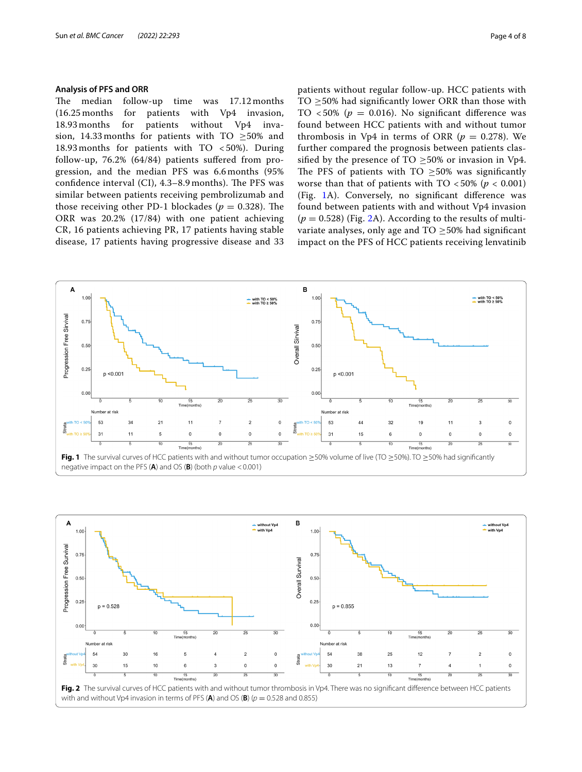## **Analysis of PFS and ORR**

The median follow-up time was  $17.12$  months (16.25 months for patients with  $Vp4$  invasion,<br>18.93 months for patients without  $Vp4$  inva-18.93 months for patients without Vp4 invasion, 14.33 months for patients with TO ≥50% and 18.93 months for patients with TO < 50%). During follow-up, 76.2% (64/84) patients sufered from progression, and the median PFS was 6.6 months (95% confidence interval (CI), 4.3-8.9 months). The PFS was similar between patients receiving pembrolizumab and those receiving other PD-1 blockades ( $p = 0.328$ ). The ORR was 20.2% (17/84) with one patient achieving CR, 16 patients achieving PR, 17 patients having stable disease, 17 patients having progressive disease and 33 patients without regular follow-up. HCC patients with TO  $\geq$ 50% had significantly lower ORR than those with TO  $<50\%$  ( $p = 0.016$ ). No significant difference was found between HCC patients with and without tumor thrombosis in Vp4 in terms of ORR ( $p = 0.278$ ). We further compared the prognosis between patients classified by the presence of TO  $\geq$ 50% or invasion in Vp4. The PFS of patients with  $TO > 50\%$  was significantly worse than that of patients with  $TO < 50\%$  ( $p < 0.001$ ) (Fig. [1A](#page-3-0)). Conversely, no signifcant diference was found between patients with and without Vp4 invasion  $(p = 0.528)$  (Fig. [2](#page-3-1)A). According to the results of multivariate analyses, only age and  $TO \geq 50\%$  had significant impact on the PFS of HCC patients receiving lenvatinib



<span id="page-3-1"></span><span id="page-3-0"></span>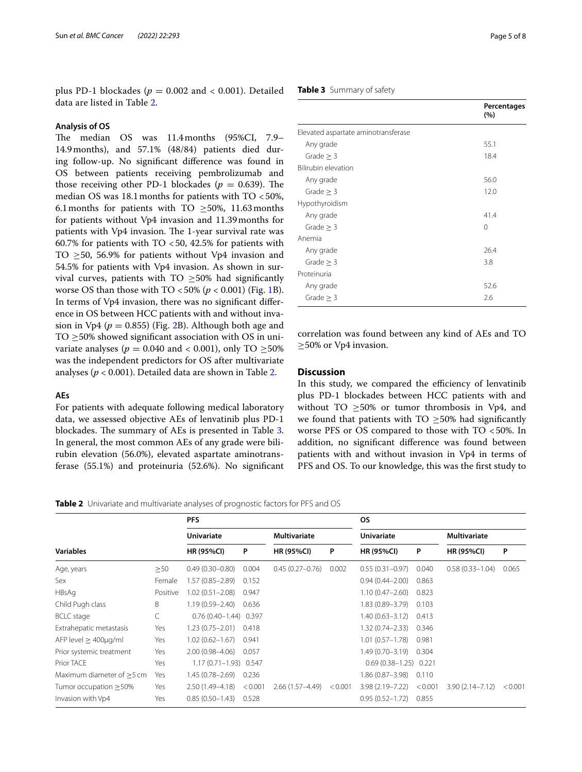plus PD-1 blockades ( $p = 0.002$  and < 0.001). Detailed data are listed in Table [2](#page-4-0).

## **Analysis of OS**

The median OS was 11.4months (95%CI, 7.9– 14.9months), and 57.1% (48/84) patients died during follow-up. No signifcant diference was found in OS between patients receiving pembrolizumab and those receiving other PD-1 blockades ( $p = 0.639$ ). The median OS was  $18.1$  months for patients with TO <50%, 6.1 months for patients with TO  $\geq$ 50%, 11.63 months for patients without Vp4 invasion and 11.39months for patients with Vp4 invasion. The 1-year survival rate was 60.7% for patients with TO  $<$  50, 42.5% for patients with TO ≥50, 56.9% for patients without Vp4 invasion and 54.5% for patients with Vp4 invasion. As shown in survival curves, patients with TO  $\geq$ 50% had significantly worse OS than those with  $TO < 50\%$  ( $p < 0.001$ ) (Fig. [1](#page-3-0)B). In terms of Vp4 invasion, there was no signifcant diference in OS between HCC patients with and without invasion in Vp4 ( $p = 0.855$ ) (Fig. [2B](#page-3-1)). Although both age and TO  $\geq$ 50% showed significant association with OS in univariate analyses ( $p = 0.040$  and < 0.001), only TO  $\geq 50\%$ was the independent predictors for OS after multivariate analyses (*p* < 0.001). Detailed data are shown in Table [2](#page-4-0).

## **AEs**

For patients with adequate following medical laboratory data, we assessed objective AEs of lenvatinib plus PD-1 blockades. The summary of AEs is presented in Table [3](#page-4-1). In general, the most common AEs of any grade were bilirubin elevation (56.0%), elevated aspartate aminotransferase (55.1%) and proteinuria (52.6%). No signifcant

## <span id="page-4-1"></span>**Table 3** Summary of safety

|                                     | Percentages<br>(%) |
|-------------------------------------|--------------------|
| Elevated aspartate aminotransferase |                    |
| Any grade                           | 55.1               |
| Grade $\geq$ 3                      | 18.4               |
| Bilirubin elevation                 |                    |
| Any grade                           | 56.0               |
| Grade $> 3$                         | 12.0               |
| Hypothyroidism                      |                    |
| Any grade                           | 41.4               |
| Grade $\geq$ 3                      | $\Omega$           |
| Anemia                              |                    |
| Any grade                           | 26.4               |
| Grade $\geq$ 3                      | 3.8                |
| Proteinuria                         |                    |
| Any grade                           | 52.6               |
| Grade $> 3$                         | 2.6                |

correlation was found between any kind of AEs and TO ≥50% or Vp4 invasion.

## **Discussion**

In this study, we compared the efficiency of lenvatinib plus PD-1 blockades between HCC patients with and without TO  $\geq$ 50% or tumor thrombosis in Vp4, and we found that patients with TO  $\geq$ 50% had significantly worse PFS or OS compared to those with TO <50%. In addition, no signifcant diference was found between patients with and without invasion in Vp4 in terms of PFS and OS. To our knowledge, this was the frst study to

<span id="page-4-0"></span>**Table 2** Univariate and multivariate analyses of prognostic factors for PFS and OS

|                                | <b>PFS</b> |                           |         |                     | <b>OS</b> |                             |       |                     |         |
|--------------------------------|------------|---------------------------|---------|---------------------|-----------|-----------------------------|-------|---------------------|---------|
|                                |            | <b>Univariate</b>         |         | <b>Multivariate</b> |           | <b>Univariate</b>           |       | <b>Multivariate</b> |         |
| <b>Variables</b>               |            | <b>HR (95%CI)</b>         | P       | <b>HR (95%CI)</b>   | P         | <b>HR (95%CI)</b>           | P     | <b>HR (95%CI)</b>   | P       |
| Age, years                     | $\geq$ 50  | $0.49(0.30 - 0.80)$       | 0.004   | $0.45(0.27-0.76)$   | 0.002     | $0.55(0.31 - 0.97)$         | 0.040 | $0.58(0.33 - 1.04)$ | 0.065   |
| Sex                            | Female     | $1.57(0.85 - 2.89)$       | 0.152   |                     |           | $0.94(0.44 - 2.00)$         | 0.863 |                     |         |
| HBsAg                          | Positive   | $1.02(0.51 - 2.08)$       | 0.947   |                     |           | $1.10(0.47 - 2.60)$         | 0.823 |                     |         |
| Child Pugh class               | B          | $1.19(0.59 - 2.40)$       | 0.636   |                     |           | 1.83 (0.89-3.79)            | 0.103 |                     |         |
| <b>BCLC</b> stage              | С          | $0.76(0.40 - 1.44)$ 0.397 |         |                     |           | $1.40(0.63 - 3.12)$         | 0.413 |                     |         |
| Extrahepatic metastasis        | Yes        | $1.23(0.75 - 2.01)$       | 0.418   |                     |           | 1.32 (0.74 - 2.33)          | 0.346 |                     |         |
| $AFP$ level $>$ 400 $\mu$ g/ml | Yes        | $1.02(0.62 - 1.67)$       | 0.941   |                     |           | 1.01 (0.57–1.78)            | 0.981 |                     |         |
| Prior systemic treatment       | Yes        | $2.00(0.98 - 4.06)$       | 0.057   |                     |           | 1.49 (0.70-3.19) 0.304      |       |                     |         |
| Prior TACE                     | Yes        | $1.17(0.71 - 1.93)$ 0.547 |         |                     |           | $0.69(0.38 - 1.25)$ 0.221   |       |                     |         |
| Maximum diameter of $>5$ cm    | Yes        | $1.45(0.78 - 2.69)$       | 0.236   |                     |           | 1.86 (0.87–3.98)            | 0.110 |                     |         |
| Tumor occupation $\geq$ 50%    | Yes        | $2.50(1.49-4.18)$         | < 0.001 | $2.66(1.57 - 4.49)$ | < 0.001   | $3.98(2.19 - 7.22) < 0.001$ |       | $3.90(2.14 - 7.12)$ | < 0.001 |
| Invasion with Vp4              | Yes        | $0.85(0.50 - 1.43)$       | 0.528   |                     |           | $0.95(0.52 - 1.72)$         | 0.855 |                     |         |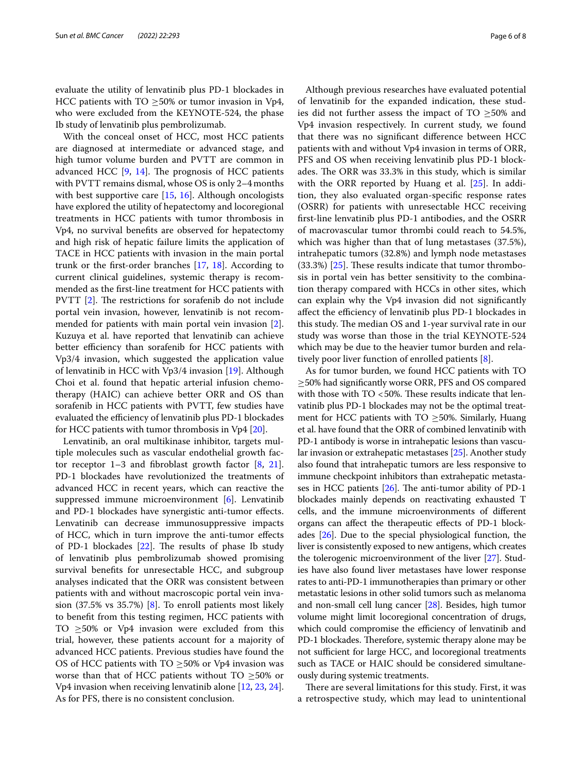evaluate the utility of lenvatinib plus PD-1 blockades in HCC patients with TO  $\geq$ 50% or tumor invasion in Vp4, who were excluded from the KEYNOTE-524, the phase Ib study of lenvatinib plus pembrolizumab.

With the conceal onset of HCC, most HCC patients are diagnosed at intermediate or advanced stage, and high tumor volume burden and PVTT are common in advanced HCC  $[9, 14]$  $[9, 14]$  $[9, 14]$  $[9, 14]$ . The prognosis of HCC patients with PVTT remains dismal, whose OS is only 2–4months with best supportive care [[15](#page-7-4), [16\]](#page-7-5). Although oncologists have explored the utility of hepatectomy and locoregional treatments in HCC patients with tumor thrombosis in Vp4, no survival benefts are observed for hepatectomy and high risk of hepatic failure limits the application of TACE in HCC patients with invasion in the main portal trunk or the frst-order branches [[17](#page-7-6), [18](#page-7-7)]. According to current clinical guidelines, systemic therapy is recommended as the frst-line treatment for HCC patients with PVTT  $[2]$  $[2]$ . The restrictions for sorafenib do not include portal vein invasion, however, lenvatinib is not recommended for patients with main portal vein invasion [\[2](#page-6-1)]. Kuzuya et al. have reported that lenvatinib can achieve better efficiency than sorafenib for HCC patients with Vp3/4 invasion, which suggested the application value of lenvatinib in HCC with Vp3/4 invasion [[19\]](#page-7-8). Although Choi et al. found that hepatic arterial infusion chemotherapy (HAIC) can achieve better ORR and OS than sorafenib in HCC patients with PVTT, few studies have evaluated the efficiency of lenvatinib plus PD-1 blockades for HCC patients with tumor thrombosis in Vp4 [[20](#page-7-9)].

Lenvatinib, an oral multikinase inhibitor, targets multiple molecules such as vascular endothelial growth factor receptor  $1-3$  and fibroblast growth factor  $[8, 21]$  $[8, 21]$  $[8, 21]$  $[8, 21]$ . PD-1 blockades have revolutionized the treatments of advanced HCC in recent years, which can reactive the suppressed immune microenvironment [[6\]](#page-6-5). Lenvatinib and PD-1 blockades have synergistic anti-tumor efects. Lenvatinib can decrease immunosuppressive impacts of HCC, which in turn improve the anti-tumor efects of PD-1 blockades  $[22]$  $[22]$ . The results of phase Ib study of lenvatinib plus pembrolizumab showed promising survival benefts for unresectable HCC, and subgroup analyses indicated that the ORR was consistent between patients with and without macroscopic portal vein invasion (37.5% vs 35.7%) [\[8](#page-6-7)]. To enroll patients most likely to beneft from this testing regimen, HCC patients with TO  $\geq$ 50% or Vp4 invasion were excluded from this trial, however, these patients account for a majority of advanced HCC patients. Previous studies have found the OS of HCC patients with TO  $\geq$ 50% or Vp4 invasion was worse than that of HCC patients without TO  $\geq$ 50% or Vp4 invasion when receiving lenvatinib alone [\[12](#page-7-1), [23,](#page-7-12) [24](#page-7-13)]. As for PFS, there is no consistent conclusion.

Although previous researches have evaluated potential of lenvatinib for the expanded indication, these studies did not further assess the impact of TO  $\geq$ 50% and Vp4 invasion respectively. In current study, we found that there was no signifcant diference between HCC patients with and without Vp4 invasion in terms of ORR, PFS and OS when receiving lenvatinib plus PD-1 blockades. The ORR was 33.3% in this study, which is similar with the ORR reported by Huang et al. [\[25](#page-7-14)]. In addition, they also evaluated organ-specifc response rates (OSRR) for patients with unresectable HCC receiving frst-line lenvatinib plus PD-1 antibodies, and the OSRR of macrovascular tumor thrombi could reach to 54.5%, which was higher than that of lung metastases (37.5%), intrahepatic tumors (32.8%) and lymph node metastases  $(33.3%)$  [\[25](#page-7-14)]. These results indicate that tumor thrombosis in portal vein has better sensitivity to the combination therapy compared with HCCs in other sites, which can explain why the Vp4 invasion did not signifcantly affect the efficiency of lenvatinib plus PD-1 blockades in this study. The median OS and 1-year survival rate in our study was worse than those in the trial KEYNOTE-524 which may be due to the heavier tumor burden and relatively poor liver function of enrolled patients [[8\]](#page-6-7).

As for tumor burden, we found HCC patients with TO ≥50% had signifcantly worse ORR, PFS and OS compared with those with TO <50%. These results indicate that lenvatinib plus PD-1 blockades may not be the optimal treatment for HCC patients with TO  $\geq$ 50%. Similarly, Huang et al. have found that the ORR of combined lenvatinib with PD-1 antibody is worse in intrahepatic lesions than vascular invasion or extrahepatic metastases [\[25\]](#page-7-14). Another study also found that intrahepatic tumors are less responsive to immune checkpoint inhibitors than extrahepatic metastases in HCC patients  $[26]$ . The anti-tumor ability of PD-1 blockades mainly depends on reactivating exhausted T cells, and the immune microenvironments of diferent organs can afect the therapeutic efects of PD-1 blockades [[26](#page-7-15)]. Due to the special physiological function, the liver is consistently exposed to new antigens, which creates the tolerogenic microenvironment of the liver [\[27](#page-7-16)]. Studies have also found liver metastases have lower response rates to anti-PD-1 immunotherapies than primary or other metastatic lesions in other solid tumors such as melanoma and non-small cell lung cancer [\[28\]](#page-7-17). Besides, high tumor volume might limit locoregional concentration of drugs, which could compromise the efficiency of lenvatinib and PD-1 blockades. Therefore, systemic therapy alone may be not sufficient for large HCC, and locoregional treatments such as TACE or HAIC should be considered simultaneously during systemic treatments.

There are several limitations for this study. First, it was a retrospective study, which may lead to unintentional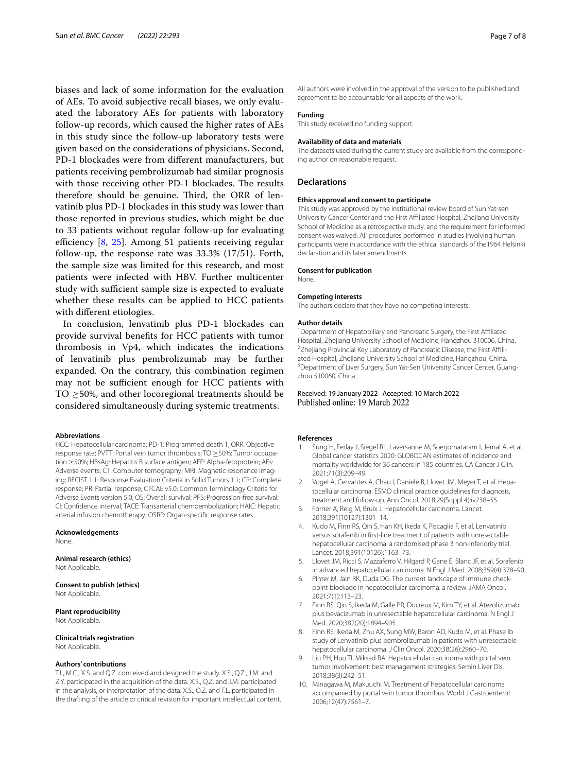biases and lack of some information for the evaluation of AEs. To avoid subjective recall biases, we only evaluated the laboratory AEs for patients with laboratory follow-up records, which caused the higher rates of AEs in this study since the follow-up laboratory tests were given based on the considerations of physicians. Second, PD-1 blockades were from diferent manufacturers, but patients receiving pembrolizumab had similar prognosis with those receiving other PD-1 blockades. The results therefore should be genuine. Third, the ORR of lenvatinib plus PD-1 blockades in this study was lower than those reported in previous studies, which might be due to 33 patients without regular follow-up for evaluating efficiency  $[8, 25]$  $[8, 25]$  $[8, 25]$  $[8, 25]$ . Among 51 patients receiving regular follow-up, the response rate was 33.3% (17/51). Forth, the sample size was limited for this research, and most patients were infected with HBV. Further multicenter study with sufficient sample size is expected to evaluate whether these results can be applied to HCC patients with diferent etiologies.

In conclusion, lenvatinib plus PD-1 blockades can provide survival benefts for HCC patients with tumor thrombosis in Vp4, which indicates the indications of lenvatinib plus pembrolizumab may be further expanded. On the contrary, this combination regimen may not be sufficient enough for HCC patients with TO  $\geq$ 50%, and other locoregional treatments should be considered simultaneously during systemic treatments.

#### **Abbreviations**

HCC: Hepatocellular carcinoma; PD-1: Programmed death 1; ORR: Objective response rate; PVTT: Portal vein tumor thrombosis; TO ≥50%: Tumor occupation ≥50%; HBsAg: Hepatitis B surface antigen; AFP: Alpha-fetoprotein; AEs: Adverse events; CT: Computer tomography; MRI: Magnetic resonance imaging; RECIST 1.1: Response Evaluation Criteria in Solid Tumors 1.1; CR: Complete response; PR: Partial response; CTCAE v5.0: Common Terminology Criteria for Adverse Events version 5.0; OS: Overall survival; PFS: Progression-free survival; CI: Confdence interval; TACE: Transarterial chemoembolization; HAIC: Hepatic arterial infusion chemotherapy; OSRR: Organ-specifc response rates.

**Acknowledgements**

None.

#### **Animal research (ethics)** Not Applicable.

**Consent to publish (ethics)** Not Applicable.

**Plant reproducibility** Not Applicable.

#### **Clinical trials registration**

Not Applicable.

## **Authors' contributions**

T.L, M.C., X.S. and Q.Z. conceived and designed the study. X.S., Q.Z., J.M. and Z.Y. participated in the acquisition of the data. X.S., Q.Z. and J.M. participated in the analysis, or interpretation of the data. X.S., Q.Z. and T.L. participated in the drafting of the article or critical revision for important intellectual content. All authors were involved in the approval of the version to be published and agreement to be accountable for all aspects of the work.

#### **Funding**

This study received no funding support.

#### **Availability of data and materials**

The datasets used during the current study are available from the corresponding author on reasonable request.

#### **Declarations**

#### **Ethics approval and consent to participate**

This study was approved by the institutional review board of Sun Yat-sen University Cancer Center and the First Afliated Hospital, Zhejiang University School of Medicine as a retrospective study, and the requirement for informed consent was waived. All procedures performed in studies involving human participants were in accordance with the ethical standards of the1964 Helsinki declaration and its later amendments.

#### **Consent for publication**

None.

#### **Competing interests**

The authors declare that they have no competing interests.

#### **Author details**

<sup>1</sup> Department of Hepatobiliary and Pancreatic Surgery, the First Affiliated Hospital, Zhejiang University School of Medicine, Hangzhou 310006, China. 2 <sup>2</sup>Zhejiang Provincial Key Laboratory of Pancreatic Disease, the First Affiliated Hospital, Zhejiang University School of Medicine, Hangzhou, China. 3 <sup>3</sup> Department of Liver Surgery, Sun Yat-Sen University Cancer Center, Guangzhou 510060, China.

Received: 19 January 2022 Accepted: 10 March 2022

#### **References**

- <span id="page-6-0"></span>Sung H, Ferlay J, Siegel RL, Laversanne M, Soerjomataram I, Jemal A, et al. Global cancer statistics 2020: GLOBOCAN estimates of incidence and mortality worldwide for 36 cancers in 185 countries. CA Cancer J Clin. 2021;71(3):209–49.
- <span id="page-6-1"></span>2. Vogel A, Cervantes A, Chau I, Daniele B, Llovet JM, Meyer T, et al. Hepatocellular carcinoma: ESMO clinical practice guidelines for diagnosis, treatment and follow-up. Ann Oncol. 2018;29(Suppl 4):iv238–55.
- <span id="page-6-2"></span>Forner A, Reig M, Bruix J. Hepatocellular carcinoma. Lancet. 2018;391(10127):1301–14.
- <span id="page-6-3"></span>4. Kudo M, Finn RS, Qin S, Han KH, Ikeda K, Piscaglia F, et al. Lenvatinib versus sorafenib in frst-line treatment of patients with unresectable hepatocellular carcinoma: a randomised phase 3 non-inferiority trial. Lancet. 2018;391(10126):1163–73.
- <span id="page-6-4"></span>5. Llovet JM, Ricci S, Mazzaferro V, Hilgard P, Gane E, Blanc JF, et al. Sorafenib in advanced hepatocellular carcinoma. N Engl J Med. 2008;359(4):378–90.
- <span id="page-6-5"></span>6. Pinter M, Jain RK, Duda DG. The current landscape of immune checkpoint blockade in hepatocellular carcinoma: a review. JAMA Oncol. 2021;7(1):113–23.
- <span id="page-6-6"></span>7. Finn RS, Qin S, Ikeda M, Galle PR, Ducreux M, Kim TY, et al. Atezolizumab plus bevacizumab in unresectable hepatocellular carcinoma. N Engl J Med. 2020;382(20):1894–905.
- <span id="page-6-7"></span>8. Finn RS, Ikeda M, Zhu AX, Sung MW, Baron AD, Kudo M, et al. Phase Ib study of Lenvatinib plus pembrolizumab in patients with unresectable hepatocellular carcinoma. J Clin Oncol. 2020;38(26):2960–70.
- <span id="page-6-8"></span>Liu PH, Huo TI, Miksad RA. Hepatocellular carcinoma with portal vein tumor involvement: best management strategies. Semin Liver Dis. 2018;38(3):242–51.
- <span id="page-6-9"></span>10. Minagawa M, Makuuchi M. Treatment of hepatocellular carcinoma accompanied by portal vein tumor thrombus. World J Gastroenterol. 2006;12(47):7561–7.